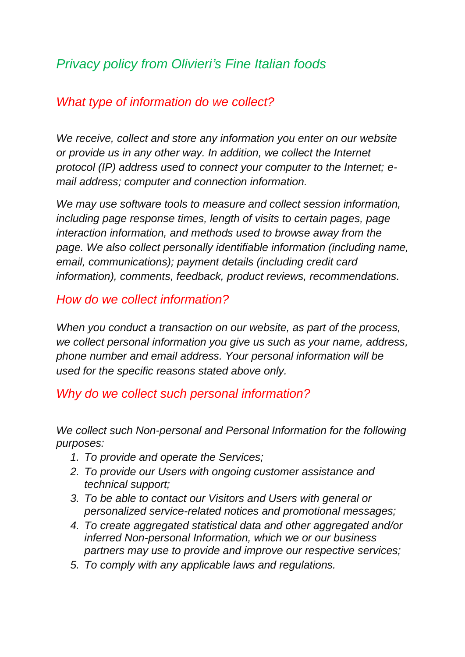# *Privacy policy from Olivieri's Fine Italian foods*

# *What type of information do we collect?*

*We receive, collect and store any information you enter on our website or provide us in any other way. In addition, we collect the Internet protocol (IP) address used to connect your computer to the Internet; email address; computer and connection information.*

*We may use software tools to measure and collect session information, including page response times, length of visits to certain pages, page interaction information, and methods used to browse away from the page. We also collect personally identifiable information (including name, email, communications); payment details (including credit card information), comments, feedback, product reviews, recommendations.*

#### *How do we collect information?*

*When you conduct a transaction on our website, as part of the process, we collect personal information you give us such as your name, address, phone number and email address. Your personal information will be used for the specific reasons stated above only.*

## *Why do we collect such personal information?*

*We collect such Non-personal and Personal Information for the following purposes:*

- *1. To provide and operate the Services;*
- *2. To provide our Users with ongoing customer assistance and technical support;*
- *3. To be able to contact our Visitors and Users with general or personalized service-related notices and promotional messages;*
- *4. To create aggregated statistical data and other aggregated and/or inferred Non-personal Information, which we or our business partners may use to provide and improve our respective services;*
- *5. To comply with any applicable laws and regulations.*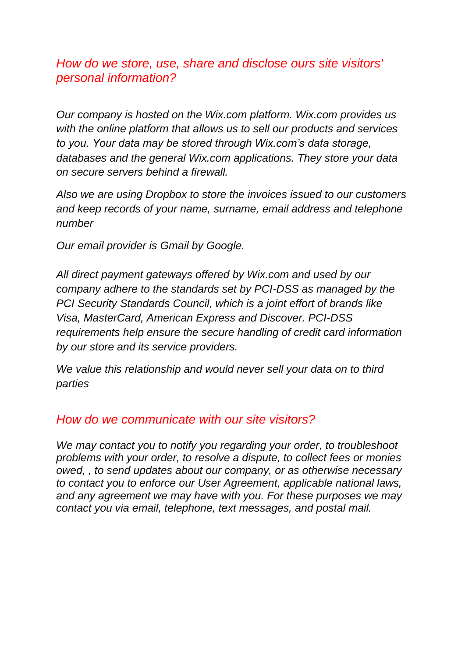## *How do we store, use, share and disclose ours site visitors' personal information?*

*Our company is hosted on the Wix.com platform. Wix.com provides us with the online platform that allows us to sell our products and services to you. Your data may be stored through Wix.com's data storage, databases and the general Wix.com applications. They store your data on secure servers behind a firewall.*

*Also we are using Dropbox to store the invoices issued to our customers and keep records of your name, surname, email address and telephone number*

*Our email provider is Gmail by Google.*

*All direct payment gateways offered by Wix.com and used by our company adhere to the standards set by PCI-DSS as managed by the PCI Security Standards Council, which is a joint effort of brands like Visa, MasterCard, American Express and Discover. PCI-DSS requirements help ensure the secure handling of credit card information by our store and its service providers.*

*We value this relationship and would never sell your data on to third parties*

#### *How do we communicate with our site visitors?*

*We may contact you to notify you regarding your order, to troubleshoot problems with your order, to resolve a dispute, to collect fees or monies owed, , to send updates about our company, or as otherwise necessary to contact you to enforce our User Agreement, applicable national laws, and any agreement we may have with you. For these purposes we may contact you via email, telephone, text messages, and postal mail.*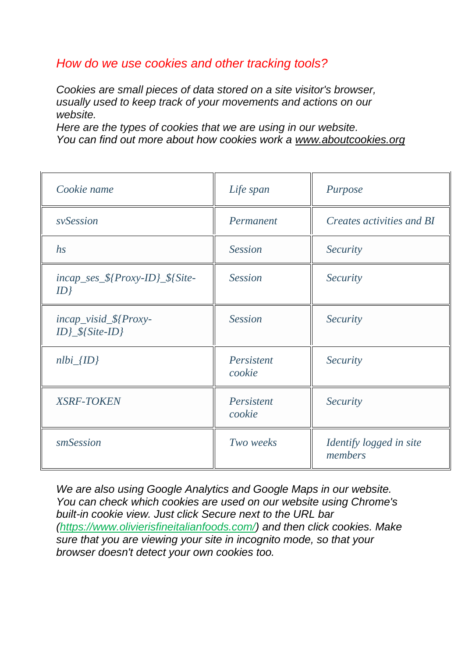## *How do we use cookies and other tracking tools?*

*Cookies are small pieces of data stored on a site visitor's browser, usually used to keep track of your movements and actions on our website.*

*Here are the types of cookies that we are using in our website. You can find out more about how cookies work a [www.aboutcookies.org](http://www.aboutcookies.org/)*

| Cookie name                                 | Life span            | Purpose                            |
|---------------------------------------------|----------------------|------------------------------------|
| svSession                                   | Permanent            | <i>Creates activities and BI</i>   |
| $\hbar s$                                   | <b>Session</b>       | <b>Security</b>                    |
| $incap\_ses\_$\{Proxy-ID\_$\$}$<br>ID       | <b>Session</b>       | <b>Security</b>                    |
| incap_visid_\${Proxy-<br>$ID$ $$$ {Site-ID} | <b>Session</b>       | <b>Security</b>                    |
| $nlbi_{I}$                                  | Persistent<br>cookie | <b>Security</b>                    |
| <b>XSRF-TOKEN</b>                           | Persistent<br>cookie | <b>Security</b>                    |
| smSession                                   | Two weeks            | Identify logged in site<br>members |

*We are also using Google Analytics and Google Maps in our website. You can check which cookies are used on our website using Chrome's built-in cookie view. Just click Secure next to the URL bar [\(https://www.olivierisfineitalianfoods.com/\)](https://www.olivierisfineitalianfoods.com/) and then click cookies. Make sure that you are viewing your site in incognito mode, so that your browser doesn't detect your own cookies too.*